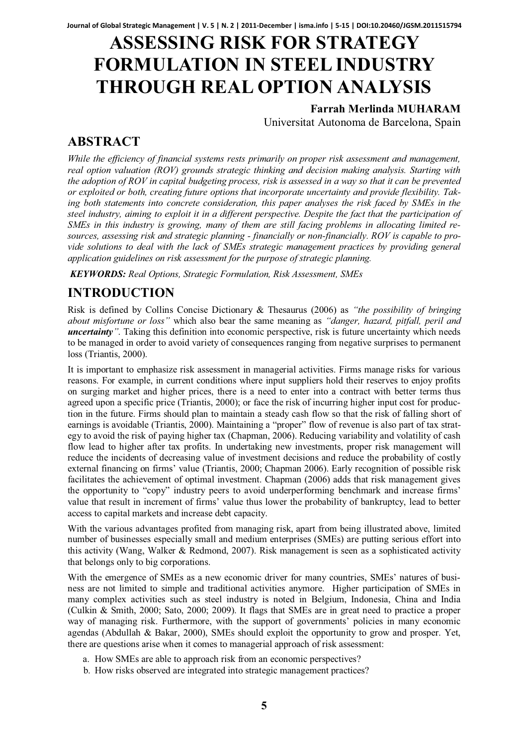# **ASSESSING RISK FOR STRATEGY FORMULATION IN STEEL INDUSTRY THROUGH REAL OPTION ANALYSIS**

### **Farrah Merlinda MUHARAM**

Universitat Autonoma de Barcelona, Spain

### **ABSTRACT**

*While the efficiency of financial systems rests primarily on proper risk assessment and management, real option valuation (ROV) grounds strategic thinking and decision making analysis. Starting with the adoption of ROV in capital budgeting process, risk is assessed in a way so that it can be prevented or exploited or both, creating future options that incorporate uncertainty and provide flexibility. Taking both statements into concrete consideration, this paper analyses the risk faced by SMEs in the steel industry, aiming to exploit it in a different perspective. Despite the fact that the participation of SMEs in this industry is growing, many of them are still facing problems in allocating limited resources, assessing risk and strategic planning - financially or non-financially. ROV is capable to provide solutions to deal with the lack of SMEs strategic management practices by providing general application guidelines on risk assessment for the purpose of strategic planning.* 

*KEYWORDS: Real Options, Strategic Formulation, Risk Assessment, SMEs* 

# **INTRODUCTION**

Risk is defined by Collins Concise Dictionary & Thesaurus (2006) as *"the possibility of bringing about misfortune or loss"* which also bear the same meaning as *"danger, hazard, pitfall, peril and uncertainty*<sup>*"*</sup>. Taking this definition into economic perspective, risk is future uncertainty which needs to be managed in order to avoid variety of consequences ranging from negative surprises to permanent loss (Triantis, 2000).

It is important to emphasize risk assessment in managerial activities. Firms manage risks for various reasons. For example, in current conditions where input suppliers hold their reserves to enjoy profits on surging market and higher prices, there is a need to enter into a contract with better terms thus agreed upon a specific price (Triantis, 2000); or face the risk of incurring higher input cost for production in the future. Firms should plan to maintain a steady cash flow so that the risk of falling short of earnings is avoidable (Triantis, 2000). Maintaining a "proper" flow of revenue is also part of tax strategy to avoid the risk of paying higher tax (Chapman, 2006). Reducing variability and volatility of cash flow lead to higher after tax profits. In undertaking new investments, proper risk management will reduce the incidents of decreasing value of investment decisions and reduce the probability of costly external financing on firms' value (Triantis, 2000; Chapman 2006). Early recognition of possible risk facilitates the achievement of optimal investment. Chapman (2006) adds that risk management gives the opportunity to "copy" industry peers to avoid underperforming benchmark and increase firms' value that result in increment of firms' value thus lower the probability of bankruptcy, lead to better access to capital markets and increase debt capacity.

With the various advantages profited from managing risk, apart from being illustrated above, limited number of businesses especially small and medium enterprises (SMEs) are putting serious effort into this activity (Wang, Walker & Redmond, 2007). Risk management is seen as a sophisticated activity that belongs only to big corporations.

With the emergence of SMEs as a new economic driver for many countries, SMEs' natures of business are not limited to simple and traditional activities anymore. Higher participation of SMEs in many complex activities such as steel industry is noted in Belgium, Indonesia, China and India (Culkin & Smith, 2000; Sato, 2000; 2009). It flags that SMEs are in great need to practice a proper way of managing risk. Furthermore, with the support of governments' policies in many economic agendas (Abdullah & Bakar, 2000), SMEs should exploit the opportunity to grow and prosper. Yet, there are questions arise when it comes to managerial approach of risk assessment:

- a. How SMEs are able to approach risk from an economic perspectives?
- b. How risks observed are integrated into strategic management practices?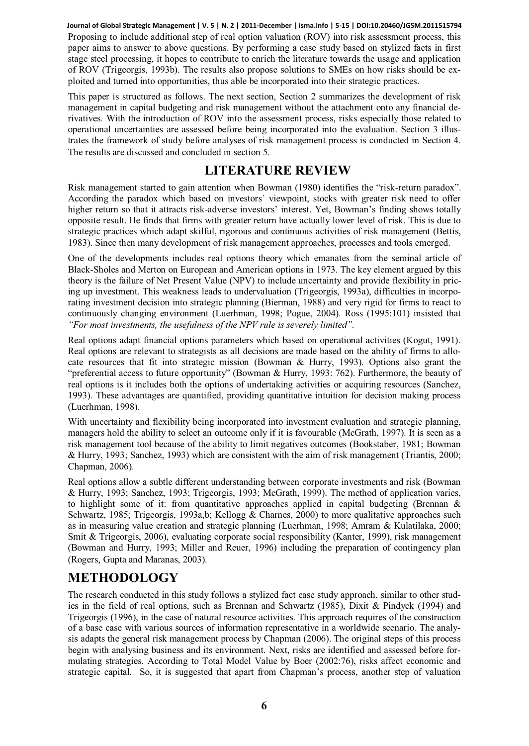Proposing to include additional step of real option valuation (ROV) into risk assessment process, this paper aims to answer to above questions. By performing a case study based on stylized facts in first stage steel processing, it hopes to contribute to enrich the literature towards the usage and application of ROV (Trigeorgis, 1993b). The results also propose solutions to SMEs on how risks should be exploited and turned into opportunities, thus able be incorporated into their strategic practices. **Journal of Global Strategic Management | V. 5 | N. 2 | 2011-December | isma.info | 5-15 | DOI:10.20460/JGSM.2011515794**

This paper is structured as follows. The next section, Section 2 summarizes the development of risk management in capital budgeting and risk management without the attachment onto any financial derivatives. With the introduction of ROV into the assessment process, risks especially those related to operational uncertainties are assessed before being incorporated into the evaluation. Section 3 illustrates the framework of study before analyses of risk management process is conducted in Section 4. The results are discussed and concluded in section 5.

### **LITERATURE REVIEW**

Risk management started to gain attention when Bowman (1980) identifies the "risk-return paradox". According the paradox which based on investors´ viewpoint, stocks with greater risk need to offer higher return so that it attracts risk-adverse investors' interest. Yet, Bowman's finding shows totally opposite result. He finds that firms with greater return have actually lower level of risk. This is due to strategic practices which adapt skilful, rigorous and continuous activities of risk management (Bettis, 1983). Since then many development of risk management approaches, processes and tools emerged.

One of the developments includes real options theory which emanates from the seminal article of Black-Sholes and Merton on European and American options in 1973. The key element argued by this theory is the failure of Net Present Value (NPV) to include uncertainty and provide flexibility in pricing up investment. This weakness leads to undervaluation (Trigeorgis, 1993a), difficulties in incorporating investment decision into strategic planning (Bierman, 1988) and very rigid for firms to react to continuously changing environment (Luerhman, 1998; Pogue, 2004). Ross (1995:101) insisted that *"For most investments, the usefulness of the NPV rule is severely limited".* 

Real options adapt financial options parameters which based on operational activities (Kogut, 1991). Real options are relevant to strategists as all decisions are made based on the ability of firms to allocate resources that fit into strategic mission (Bowman  $\&$  Hurry, 1993). Options also grant the "preferential access to future opportunity" (Bowman & Hurry, 1993: 762). Furthermore, the beauty of real options is it includes both the options of undertaking activities or acquiring resources (Sanchez, 1993). These advantages are quantified, providing quantitative intuition for decision making process (Luerhman, 1998).

With uncertainty and flexibility being incorporated into investment evaluation and strategic planning, managers hold the ability to select an outcome only if it is favourable (McGrath, 1997). It is seen as a risk management tool because of the ability to limit negatives outcomes (Bookstaber, 1981; Bowman & Hurry, 1993; Sanchez, 1993) which are consistent with the aim of risk management (Triantis, 2000; Chapman, 2006).

Real options allow a subtle different understanding between corporate investments and risk (Bowman & Hurry, 1993; Sanchez, 1993; Trigeorgis, 1993; McGrath, 1999). The method of application varies, to highlight some of it: from quantitative approaches applied in capital budgeting (Brennan  $\&$ Schwartz, 1985; Trigeorgis, 1993a,b; Kellogg & Charnes, 2000) to more qualitative approaches such as in measuring value creation and strategic planning (Luerhman, 1998; Amram & Kulatilaka, 2000; Smit & Trigeorgis, 2006), evaluating corporate social responsibility (Kanter, 1999), risk management (Bowman and Hurry, 1993; Miller and Reuer, 1996) including the preparation of contingency plan (Rogers, Gupta and Maranas, 2003).

## **METHODOLOGY**

The research conducted in this study follows a stylized fact case study approach, similar to other studies in the field of real options, such as Brennan and Schwartz (1985), Dixit & Pindyck (1994) and Trigeorgis (1996), in the case of natural resource activities. This approach requires of the construction of a base case with various sources of information representative in a worldwide scenario. The analysis adapts the general risk management process by Chapman (2006). The original steps of this process begin with analysing business and its environment. Next, risks are identified and assessed before formulating strategies. According to Total Model Value by Boer (2002:76), risks affect economic and strategic capital. So, it is suggested that apart from Chapman's process, another step of valuation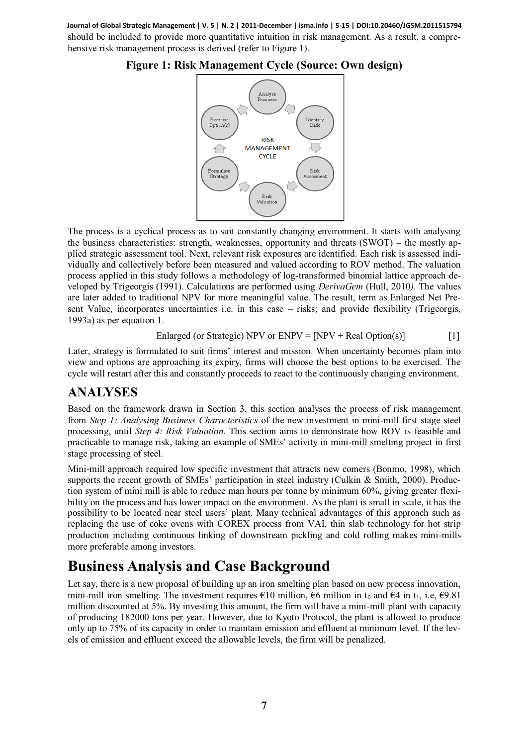should be included to provide more quantitative intuition in risk management. As a result, a comprehensive risk management process is derived (refer to Figure 1). **Journal of Global Strategic Management | V. 5 | N. 2 | 2011-December | isma.info | 5-15 | DOI:10.20460/JGSM.2011515794**



**Figure 1: Risk Management Cycle (Source: Own design)** 

The process is a cyclical process as to suit constantly changing environment. It starts with analysing the business characteristics: strength, weaknesses, opportunity and threats (SWOT) – the mostly applied strategic assessment tool. Next, relevant risk exposures are identified. Each risk is assessed individually and collectively before been measured and valued according to ROV method. The valuation process applied in this study follows a methodology of log-transformed binomial lattice approach developed by Trigeorgis (1991). Calculations are performed using *DerivaGem* (Hull, 2010*)*. The values are later added to traditional NPV for more meaningful value. The result, term as Enlarged Net Present Value, incorporates uncertainties i.e. in this case – risks; and provide flexibility (Trigeorgis, 1993a) as per equation 1.

Enlarged (or Strategic) NPV or ENPV = 
$$
[NPV + Real Option(s)]
$$
 [1]

Later, strategy is formulated to suit firms' interest and mission. When uncertainty becomes plain into view and options are approaching its expiry, firms will choose the best options to be exercised. The cycle will restart after this and constantly proceeds to react to the continuously changing environment.

### **ANALYSES**

Based on the framework drawn in Section 3, this section analyses the process of risk management from *Step 1: Analysing Business Characteristics* of the new investment in mini-mill first stage steel processing, until *Step 4: Risk Valuation*. This section aims to demonstrate how ROV is feasible and practicable to manage risk, taking an example of SMEs' activity in mini-mill smelting project in first stage processing of steel.

Mini-mill approach required low specific investment that attracts new comers (Bonmo, 1998), which supports the recent growth of SMEs' participation in steel industry (Culkin & Smith, 2000). Production system of mini mill is able to reduce man hours per tonne by minimum 60%, giving greater flexibility on the process and has lower impact on the environment. As the plant is small in scale, it has the possibility to be located near steel users' plant. Many technical advantages of this approach such as replacing the use of coke ovens with COREX process from VAI, thin slab technology for hot strip production including continuous linking of downstream pickling and cold rolling makes mini-mills more preferable among investors.

# **Business Analysis and Case Background**

Let say, there is a new proposal of building up an iron smelting plan based on new process innovation, mini-mill iron smelting. The investment requires  $\epsilon$ 10 million,  $\epsilon$ 6 million in t<sub>0</sub> and  $\epsilon$ 4 in t<sub>1</sub>, i.e,  $\epsilon$ 9.81 million discounted at 5%. By investing this amount, the firm will have a mini-mill plant with capacity of producing 182000 tons per year. However, due to Kyoto Protocol, the plant is allowed to produce only up to 75% of its capacity in order to maintain emission and effluent at minimum level. If the levels of emission and effluent exceed the allowable levels, the firm will be penalized.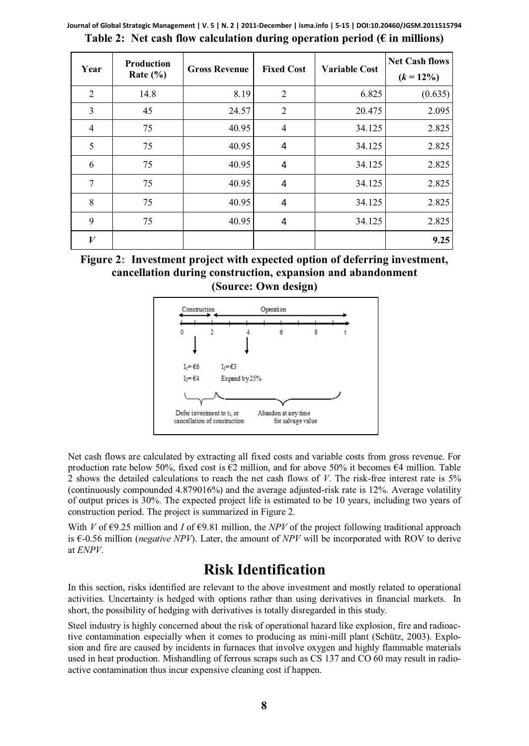| Year | Production<br>Rate $(\% )$ | <b>Gross Revenue</b> | <b>Fixed Cost</b> | <b>Variable Cost</b> | <b>Net Cash flows</b><br>$(k = 12\%)$ |
|------|----------------------------|----------------------|-------------------|----------------------|---------------------------------------|
| 2    | 14.8                       | 8.19                 | $\overline{2}$    | 6.825                | (0.635)                               |
| 3    | 45                         | 24.57                | $\overline{2}$    | 20.475               | 2.095                                 |
| 4    | 75                         | 40.95                | 4                 | 34.125               | 2.825                                 |
| 5    | 75                         | 40.95                | 4                 | 34.125               | 2.825                                 |
| 6    | 75                         | 40.95                | 4                 | 34.125               | 2.825                                 |
| 7    | 75                         | 40.95                | 4                 | 34.125               | 2.825                                 |
| 8    | 75                         | 40.95                | 4                 | 34.125               | 2.825                                 |
| 9    | 75                         | 40.95                | 4                 | 34.125               | 2.825                                 |
| V    |                            |                      |                   |                      | 9.25                                  |

**Table 2: Net cash flow calculation during operation period (€ in millions) Journal of Global Strategic Management | V. 5 | N. 2 | 2011-December | isma.info | 5-15 | DOI:10.20460/JGSM.2011515794**

**Figure 2: Investment project with expected option of deferring investment, cancellation during construction, expansion and abandonment (Source: Own design)** 



Net cash flows are calculated by extracting all fixed costs and variable costs from gross revenue. For production rate below 50%, fixed cost is  $\epsilon$ 2 million, and for above 50% it becomes  $\epsilon$ 4 million. Table 2 shows the detailed calculations to reach the net cash flows of *V*. The risk-free interest rate is 5% (continuously compounded 4.879016%) and the average adjusted-risk rate is 12%. Average volatility of output prices is 30%. The expected project life is estimated to be 10 years, including two years of construction period. The project is summarized in Figure 2.

With *V* of  $\epsilon$ 9.25 million and *I* of  $\epsilon$ 9.81 million, the *NPV* of the project following traditional approach is €-0.56 million (*negative NPV*). Later, the amount of *NPV* will be incorporated with ROV to derive at *ENPV*.

# **Risk Identification**

In this section, risks identified are relevant to the above investment and mostly related to operational activities. Uncertainty is hedged with options rather than using derivatives in financial markets. In short, the possibility of hedging with derivatives is totally disregarded in this study.

Steel industry is highly concerned about the risk of operational hazard like explosion, fire and radioactive contamination especially when it comes to producing as mini-mill plant (Schütz, 2003). Explosion and fire are caused by incidents in furnaces that involve oxygen and highly flammable materials used in heat production. Mishandling of ferrous scraps such as CS 137 and CO 60 may result in radioactive contamination thus incur expensive cleaning cost if happen.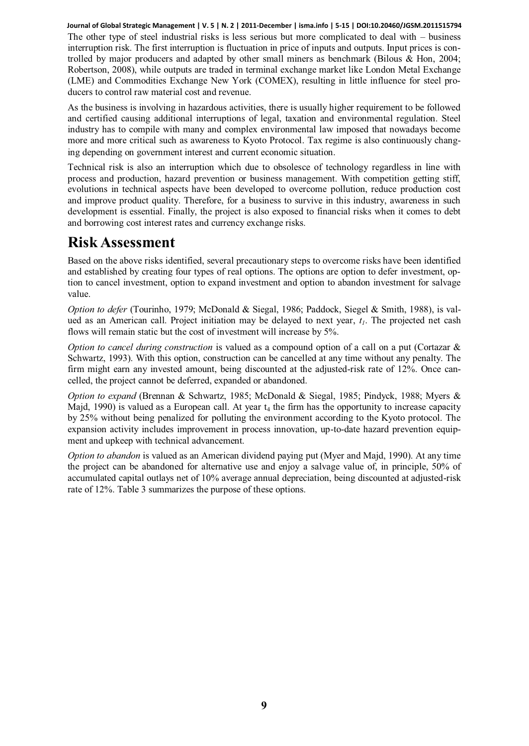The other type of steel industrial risks is less serious but more complicated to deal with – business interruption risk. The first interruption is fluctuation in price of inputs and outputs. Input prices is controlled by major producers and adapted by other small miners as benchmark (Bilous & Hon, 2004; Robertson, 2008), while outputs are traded in terminal exchange market like London Metal Exchange (LME) and Commodities Exchange New York (COMEX), resulting in little influence for steel producers to control raw material cost and revenue. **Journal of Global Strategic Management | V. 5 | N. 2 | 2011-December | isma.info | 5-15 | DOI:10.20460/JGSM.2011515794**

As the business is involving in hazardous activities, there is usually higher requirement to be followed and certified causing additional interruptions of legal, taxation and environmental regulation. Steel industry has to compile with many and complex environmental law imposed that nowadays become more and more critical such as awareness to Kyoto Protocol. Tax regime is also continuously changing depending on government interest and current economic situation.

Technical risk is also an interruption which due to obsolesce of technology regardless in line with process and production, hazard prevention or business management. With competition getting stiff, evolutions in technical aspects have been developed to overcome pollution, reduce production cost and improve product quality. Therefore, for a business to survive in this industry, awareness in such development is essential. Finally, the project is also exposed to financial risks when it comes to debt and borrowing cost interest rates and currency exchange risks.

# **Risk Assessment**

Based on the above risks identified, several precautionary steps to overcome risks have been identified and established by creating four types of real options. The options are option to defer investment, option to cancel investment, option to expand investment and option to abandon investment for salvage value.

*Option to defer* (Tourinho, 1979; McDonald & Siegal, 1986; Paddock, Siegel & Smith, 1988), is valued as an American call. Project initiation may be delayed to next year,  $t<sub>1</sub>$ . The projected net cash flows will remain static but the cost of investment will increase by 5%.

*Option to cancel during construction* is valued as a compound option of a call on a put (Cortazar & Schwartz, 1993). With this option, construction can be cancelled at any time without any penalty. The firm might earn any invested amount, being discounted at the adjusted-risk rate of 12%. Once cancelled, the project cannot be deferred, expanded or abandoned.

*Option to expand* (Brennan & Schwartz, 1985; McDonald & Siegal, 1985; Pindyck, 1988; Myers & Majd, 1990) is valued as a European call. At year  $t_4$  the firm has the opportunity to increase capacity by 25% without being penalized for polluting the environment according to the Kyoto protocol. The expansion activity includes improvement in process innovation, up-to-date hazard prevention equipment and upkeep with technical advancement.

*Option to abandon* is valued as an American dividend paying put (Myer and Majd, 1990). At any time the project can be abandoned for alternative use and enjoy a salvage value of, in principle, 50% of accumulated capital outlays net of 10% average annual depreciation, being discounted at adjusted-risk rate of 12%. Table 3 summarizes the purpose of these options.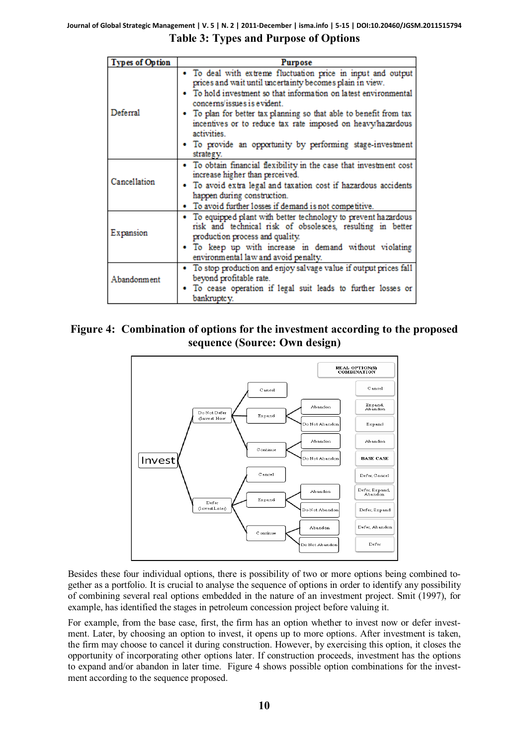|  |  |  | <b>Table 3: Types and Purpose of Options</b> |  |  |
|--|--|--|----------------------------------------------|--|--|
|--|--|--|----------------------------------------------|--|--|

| <b>Types of Option</b>                                                                                                                                                                       | Purpose                                                                                                                                                                                                                                                                                                                                                                                                                                                   |  |  |  |  |
|----------------------------------------------------------------------------------------------------------------------------------------------------------------------------------------------|-----------------------------------------------------------------------------------------------------------------------------------------------------------------------------------------------------------------------------------------------------------------------------------------------------------------------------------------------------------------------------------------------------------------------------------------------------------|--|--|--|--|
| Deferral                                                                                                                                                                                     | · To deal with extreme fluctuation price in input and output<br>prices and wait until uncertainty becomes plain in view.<br>• To hold investment so that information on latest environmental<br>concerns/issues is evident.<br>• To plan for better tax planning so that able to benefit from tax<br>incentives or to reduce tax rate imposed on heavy/hazardous<br>activities<br>• To provide an opportunity by performing stage-investment<br>strategy. |  |  |  |  |
| Cancellation                                                                                                                                                                                 | • To obtain financial flexibility in the case that investment cost<br>increase higher than perceived.<br>· To avoid extra legal and taxation cost if hazardous accidents<br>happen during construction.<br>• To avoid further losses if demand is not competitive.                                                                                                                                                                                        |  |  |  |  |
| Expansion                                                                                                                                                                                    | To equipped plant with better technology to prevent hazardous<br>risk and technical risk of obsolesces, resulting in better<br>production process and quality.<br>. To keep up with increase in demand without violating<br>environmental law and avoid penalty.                                                                                                                                                                                          |  |  |  |  |
| • To stop production and enjoy salvage value if output prices fall<br>beyond profitable rate.<br>Abandonment<br>• To cease operation if legal suit leads to further losses or<br>bankruptcy. |                                                                                                                                                                                                                                                                                                                                                                                                                                                           |  |  |  |  |

**Figure 4: Combination of options for the investment according to the proposed sequence (Source: Own design)**



Besides these four individual options, there is possibility of two or more options being combined together as a portfolio. It is crucial to analyse the sequence of options in order to identify any possibility of combining several real options embedded in the nature of an investment project. Smit (1997), for example, has identified the stages in petroleum concession project before valuing it.

For example, from the base case, first, the firm has an option whether to invest now or defer investment. Later, by choosing an option to invest, it opens up to more options. After investment is taken, the firm may choose to cancel it during construction. However, by exercising this option, it closes the opportunity of incorporating other options later. If construction proceeds, investment has the options to expand and/or abandon in later time. Figure 4 shows possible option combinations for the investment according to the sequence proposed.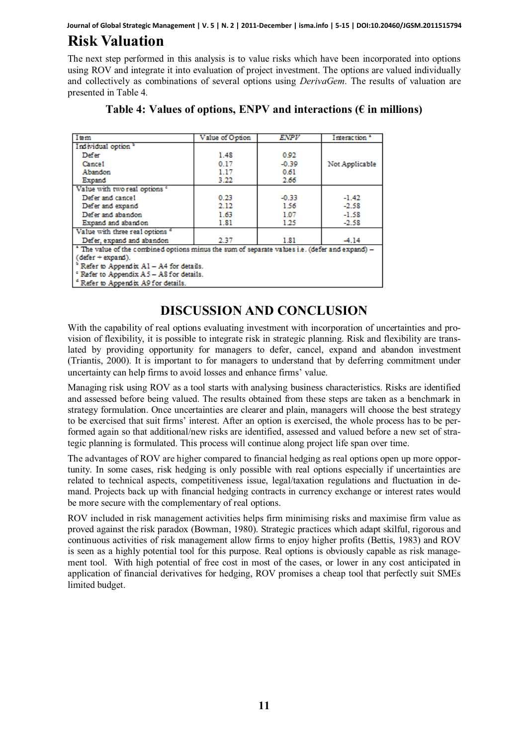**Journal of Global Strategic Management | V. 5 | N. 2 | 2011-December | isma.info | 5-15 | DOI:10.20460/JGSM.2011515794**

# **Risk Valuation**

The next step performed in this analysis is to value risks which have been incorporated into options using ROV and integrate it into evaluation of project investment. The options are valued individually and collectively as combinations of several options using *DerivaGem*. The results of valuation are presented in Table 4.

| Item                                                                                         | Value of Option | ENPV    | Interaction <sup>a</sup> |  |
|----------------------------------------------------------------------------------------------|-----------------|---------|--------------------------|--|
| Individual option <sup>b</sup>                                                               |                 |         |                          |  |
| Defer                                                                                        | 1.48            | 0.92    |                          |  |
| Cance1                                                                                       | 0.17            | $-0.39$ | Not Applicable           |  |
| Abandon                                                                                      | 1.17            | 0.61    |                          |  |
| Expand                                                                                       | 3.22            | 2.66    |                          |  |
| Value with two real options "                                                                |                 |         |                          |  |
| Defer and cancel                                                                             | 0.23            | $-0.33$ | $-1.42$                  |  |
| Defer and expand                                                                             | 2.12            | 1.56    | $-2.58$                  |  |
| Defer and abandon                                                                            | 1.63            | 1.07    | $-1.58$                  |  |
| Expand and abandon                                                                           | 1.81            | 1.25    | $-2.58$                  |  |
| Value with three real options <sup>4</sup>                                                   |                 |         |                          |  |
| Defer, expand and abandon                                                                    | 2.37            | 1.81    | $-4.14$                  |  |
| The value of the combined options minus the sum of separate values i.e. (defer and expand) - |                 |         |                          |  |
| (defer + expand).                                                                            |                 |         |                          |  |
| Refer to Appendix A1 - A4 for details.                                                       |                 |         |                          |  |
| <sup>e</sup> Refer to Appendix A5 - A8 for details.                                          |                 |         |                          |  |
| <sup>e</sup> Refer to Appendix A9 for details.                                               |                 |         |                          |  |

| Table 4: Values of options, ENPV and interactions ( $\epsilon$ in millions) |  |  |
|-----------------------------------------------------------------------------|--|--|
|-----------------------------------------------------------------------------|--|--|

### **DISCUSSION AND CONCLUSION**

With the capability of real options evaluating investment with incorporation of uncertainties and provision of flexibility, it is possible to integrate risk in strategic planning. Risk and flexibility are translated by providing opportunity for managers to defer, cancel, expand and abandon investment (Triantis, 2000). It is important to for managers to understand that by deferring commitment under uncertainty can help firms to avoid losses and enhance firms' value.

Managing risk using ROV as a tool starts with analysing business characteristics. Risks are identified and assessed before being valued. The results obtained from these steps are taken as a benchmark in strategy formulation. Once uncertainties are clearer and plain, managers will choose the best strategy to be exercised that suit firms' interest. After an option is exercised, the whole process has to be performed again so that additional/new risks are identified, assessed and valued before a new set of strategic planning is formulated. This process will continue along project life span over time.

The advantages of ROV are higher compared to financial hedging as real options open up more opportunity. In some cases, risk hedging is only possible with real options especially if uncertainties are related to technical aspects, competitiveness issue, legal/taxation regulations and fluctuation in demand. Projects back up with financial hedging contracts in currency exchange or interest rates would be more secure with the complementary of real options.

ROV included in risk management activities helps firm minimising risks and maximise firm value as proved against the risk paradox (Bowman, 1980). Strategic practices which adapt skilful, rigorous and continuous activities of risk management allow firms to enjoy higher profits (Bettis, 1983) and ROV is seen as a highly potential tool for this purpose. Real options is obviously capable as risk management tool. With high potential of free cost in most of the cases, or lower in any cost anticipated in application of financial derivatives for hedging, ROV promises a cheap tool that perfectly suit SMEs limited budget.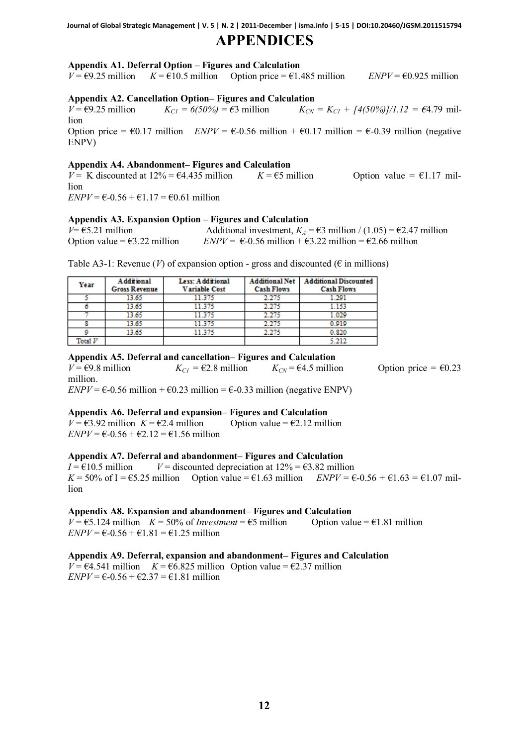### **APPENDICES**

### **Appendix A1. Deferral Option – Figures and Calculation**

 $V = \epsilon 9.25$  million  $K = \epsilon 10.5$  million Option price =  $\epsilon 1.485$  million *ENPV* =  $\epsilon 0.925$  million

#### **Appendix A2. Cancellation Option– Figures and Calculation**

*V* =  $\epsilon$ 9.25 million *K<sub>C1</sub>* =  $6(50\%)$  =  $\epsilon$ 3 million *K<sub>CN</sub>* = *K<sub>C1</sub>* +  $[4(50\%)]/1.12$  =  $\epsilon$ 4.79 million Option price =  $\epsilon$ 0.17 million *ENPV* =  $\epsilon$ -0.56 million +  $\epsilon$ 0.17 million =  $\epsilon$ -0.39 million (negative ENPV)

### **Appendix A4. Abandonment– Figures and Calculation**

 $V = K$  discounted at  $12\% = \text{\textsterling}4.435$  million *K* =  $\text{\textsterling}5$  million Option value =  $\text{\textsterling}1.17$  million  *million* 

### **Appendix A3. Expansion Option – Figures and Calculation**

 $V = \text{\textsterling}5.21$  million Additional investment,  $K_A = \text{\textsterling}3$  million / (1.05) =  $\text{\textsterling}2.47$  million Option value =  $\epsilon$ 3.22 million *ENPV* =  $\epsilon$ -0.56 million +  $\epsilon$ 3.22 million =  $\epsilon$ 2.66 million

Table A3-1: Revenue (*V*) of expansion option - gross and discounted ( $\epsilon$  in millions)

| Year    | <b>Additional</b><br><b>Gross Revenue</b> | Less: Additional<br>Variable Cost | <b>Additional Net</b><br><b>Cash Flows</b> | <b>Additional Discounted</b><br><b>Cash Flows</b> |
|---------|-------------------------------------------|-----------------------------------|--------------------------------------------|---------------------------------------------------|
|         | 13.65                                     | 11.375                            | 2.275                                      | 1.291                                             |
|         | 13.65                                     | 11.375                            | 2.275                                      | 1.153                                             |
|         | 13.65                                     | 11.375                            | 2.275                                      | 1.029                                             |
|         | 13.65                                     | 11.375                            | 2.275                                      | 0.919                                             |
|         | 13.65                                     | 11.375                            | 2.275                                      | 0.820                                             |
| rotal V |                                           |                                   |                                            |                                                   |

### **Appendix A5. Deferral and cancellation– Figures and Calculation**

 $V = \epsilon 9.8$  million  $K_{C1} = \epsilon 2.8$  million  $K_{CN} = \epsilon 4.5$  million Option price  $\epsilon = \epsilon 0.23$ million.  *million +*  $\text{\textsterling}0.23$  *million =*  $\text{\textsterling}-0.33$  *million (negative ENPV)* 

#### **Appendix A6. Deferral and expansion– Figures and Calculation**

 $V = \epsilon$ 3.92 million  $K = \epsilon$ 2.4 million Option value =  $\epsilon$ 2.12 million  *million* 

#### **Appendix A7. Deferral and abandonment– Figures and Calculation**

 $I = \text{\textsterling}10.5$  million  $V =$  discounted depreciation at  $12\% = \text{\textsterling}3.82$  million  $K = 50\%$  of I =  $\epsilon$ 5.25 million Option value =  $\epsilon$ 1.63 million *ENPV* =  $\epsilon$ -0.56 +  $\epsilon$ 1.63 =  $\epsilon$ 1.07 million

#### **Appendix A8. Expansion and abandonment– Figures and Calculation**

 $V = \epsilon$ 5.124 million  $K = 50\%$  of *Investment* =  $\epsilon$ 5 million Option value =  $\epsilon$ 1.81 million  *million* 

#### **Appendix A9. Deferral, expansion and abandonment– Figures and Calculation**

 $V = \text{\textsterling}4.541$  million *K* =  $\text{\textsterling}6.825$  million Option value =  $\text{\textsterling}2.37$  million  *million*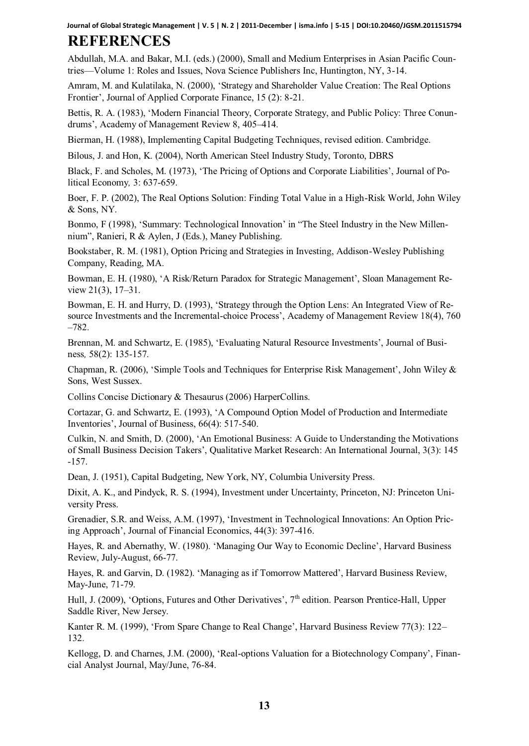**Journal of Global Strategic Management | V. 5 | N. 2 | 2011-December | isma.info | 5-15 | DOI:10.20460/JGSM.2011515794**

# **REFERENCES**

Abdullah, M.A. and Bakar, M.I. (eds.) (2000), Small and Medium Enterprises in Asian Pacific Countries—Volume 1: Roles and Issues, Nova Science Publishers Inc, Huntington, NY, 3-14.

Amram, M. and Kulatilaka, N. (2000), 'Strategy and Shareholder Value Creation: The Real Options Frontier', Journal of Applied Corporate Finance, 15 (2): 8-21.

Bettis, R. A. (1983), 'Modern Financial Theory, Corporate Strategy, and Public Policy: Three Conundrums', Academy of Management Review 8, 405–414.

Bierman, H. (1988), Implementing Capital Budgeting Techniques, revised edition. Cambridge.

Bilous, J. and Hon, K. (2004), North American Steel Industry Study, Toronto, DBRS

Black, F. and Scholes, M. (1973), 'The Pricing of Options and Corporate Liabilities', Journal of Political Economy*,* 3: 637-659.

Boer, F. P. (2002), The Real Options Solution: Finding Total Value in a High-Risk World, John Wiley & Sons, NY.

Bonmo, F (1998), 'Summary: Technological Innovation' in "The Steel Industry in the New Millennium", Ranieri, R & Aylen, J (Eds.), Maney Publishing.

Bookstaber, R. M. (1981), Option Pricing and Strategies in Investing, Addison-Wesley Publishing Company, Reading, MA.

Bowman, E. H. (1980), 'A Risk/Return Paradox for Strategic Management', Sloan Management Review 21(3), 17–31.

Bowman, E. H. and Hurry, D. (1993), 'Strategy through the Option Lens: An Integrated View of Resource Investments and the Incremental-choice Process', Academy of Management Review 18(4), 760 –782.

Brennan, M. and Schwartz, E. (1985), 'Evaluating Natural Resource Investments', Journal of Business*,* 58(2): 135-157.

Chapman, R. (2006), 'Simple Tools and Techniques for Enterprise Risk Management', John Wiley & Sons, West Sussex.

Collins Concise Dictionary & Thesaurus (2006) HarperCollins.

Cortazar, G. and Schwartz, E. (1993), 'A Compound Option Model of Production and Intermediate Inventories', Journal of Business, 66(4): 517-540.

Culkin, N. and Smith, D. (2000), 'An Emotional Business: A Guide to Understanding the Motivations of Small Business Decision Takers', Qualitative Market Research: An International Journal, 3(3): 145 -157.

Dean, J. (1951), Capital Budgeting, New York, NY, Columbia University Press.

Dixit, A. K., and Pindyck, R. S. (1994), Investment under Uncertainty, Princeton, NJ: Princeton University Press.

Grenadier, S.R. and Weiss, A.M. (1997), 'Investment in Technological Innovations: An Option Pricing Approach', Journal of Financial Economics, 44(3): 397-416.

Hayes, R. and Abernathy, W. (1980). 'Managing Our Way to Economic Decline', Harvard Business Review, July-August, 66-77.

Hayes, R. and Garvin, D. (1982). 'Managing as if Tomorrow Mattered', Harvard Business Review, May-June, 71-79.

Hull, J. (2009), 'Options, Futures and Other Derivatives',  $7<sup>th</sup>$  edition. Pearson Prentice-Hall, Upper Saddle River, New Jersey.

Kanter R. M. (1999), 'From Spare Change to Real Change', Harvard Business Review 77(3): 122– 132.

Kellogg, D. and Charnes, J.M. (2000), 'Real-options Valuation for a Biotechnology Company', Financial Analyst Journal, May/June, 76-84.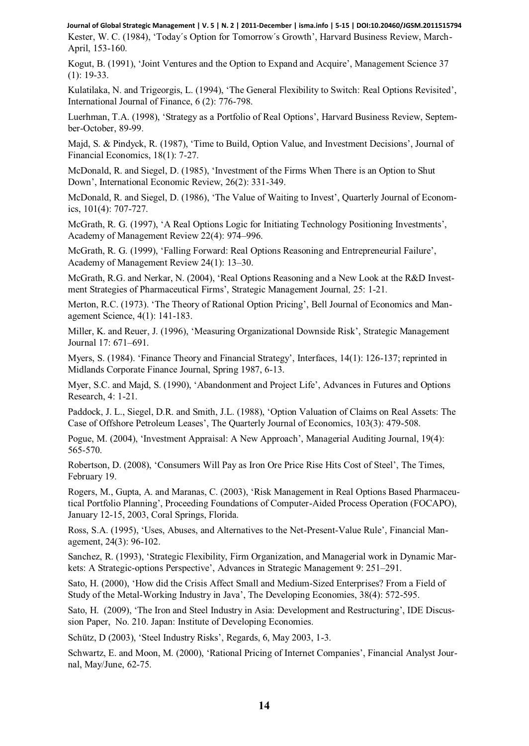Kester, W. C. (1984), 'Today´s Option for Tomorrow´s Growth', Harvard Business Review, March-April, 153-160. **Journal of Global Strategic Management | V. 5 | N. 2 | 2011-December | isma.info | 5-15 | DOI:10.20460/JGSM.2011515794**

Kogut, B. (1991), 'Joint Ventures and the Option to Expand and Acquire', Management Science 37 (1): 19-33.

Kulatilaka, N. and Trigeorgis, L. (1994), 'The General Flexibility to Switch: Real Options Revisited', International Journal of Finance, 6 (2): 776-798.

Luerhman, T.A. (1998), 'Strategy as a Portfolio of Real Options', Harvard Business Review, September-October, 89-99.

Majd, S. & Pindyck, R. (1987), 'Time to Build, Option Value, and Investment Decisions', Journal of Financial Economics, 18(1): 7-27.

McDonald, R. and Siegel, D. (1985), 'Investment of the Firms When There is an Option to Shut Down', International Economic Review, 26(2): 331-349.

McDonald, R. and Siegel, D. (1986), 'The Value of Waiting to Invest', Quarterly Journal of Economics, 101(4): 707-727.

McGrath, R. G. (1997), 'A Real Options Logic for Initiating Technology Positioning Investments', Academy of Management Review 22(4): 974–996.

McGrath, R. G. (1999), 'Falling Forward: Real Options Reasoning and Entrepreneurial Failure', Academy of Management Review 24(1): 13–30.

McGrath, R.G. and Nerkar, N. (2004), 'Real Options Reasoning and a New Look at the R&D Investment Strategies of Pharmaceutical Firms', Strategic Management Journal*,* 25: 1-21*.* 

Merton, R.C. (1973). 'The Theory of Rational Option Pricing', Bell Journal of Economics and Management Science, 4(1): 141-183.

Miller, K. and Reuer, J. (1996), 'Measuring Organizational Downside Risk', Strategic Management Journal 17: 671–691.

Myers, S. (1984). 'Finance Theory and Financial Strategy', Interfaces, 14(1): 126-137; reprinted in Midlands Corporate Finance Journal, Spring 1987, 6-13.

Myer, S.C. and Majd, S. (1990), 'Abandonment and Project Life', Advances in Futures and Options Research, 4: 1-21.

Paddock, J. L., Siegel, D.R. and Smith, J.L. (1988), 'Option Valuation of Claims on Real Assets: The Case of Offshore Petroleum Leases', The Quarterly Journal of Economics, 103(3): 479-508.

Pogue, M. (2004), 'Investment Appraisal: A New Approach', Managerial Auditing Journal, 19(4): 565-570.

Robertson, D. (2008), 'Consumers Will Pay as Iron Ore Price Rise Hits Cost of Steel', The Times, February 19.

Rogers, M., Gupta, A. and Maranas, C. (2003), 'Risk Management in Real Options Based Pharmaceutical Portfolio Planning', Proceeding Foundations of Computer-Aided Process Operation (FOCAPO), January 12-15, 2003, Coral Springs, Florida.

Ross, S.A. (1995), 'Uses, Abuses, and Alternatives to the Net-Present-Value Rule', Financial Management, 24(3): 96-102.

Sanchez, R. (1993), 'Strategic Flexibility, Firm Organization, and Managerial work in Dynamic Markets: A Strategic-options Perspective', Advances in Strategic Management 9: 251–291.

Sato, H. (2000), 'How did the Crisis Affect Small and Medium-Sized Enterprises? From a Field of Study of the Metal-Working Industry in Java', The Developing Economies, 38(4): 572-595.

Sato, H. (2009), 'The Iron and Steel Industry in Asia: Development and Restructuring', IDE Discussion Paper,No. 210. Japan: Institute of Developing Economies.

Schütz, D (2003), 'Steel Industry Risks', Regards, 6, May 2003, 1-3.

Schwartz, E. and Moon, M. (2000), 'Rational Pricing of Internet Companies', Financial Analyst Journal, May/June, 62-75.